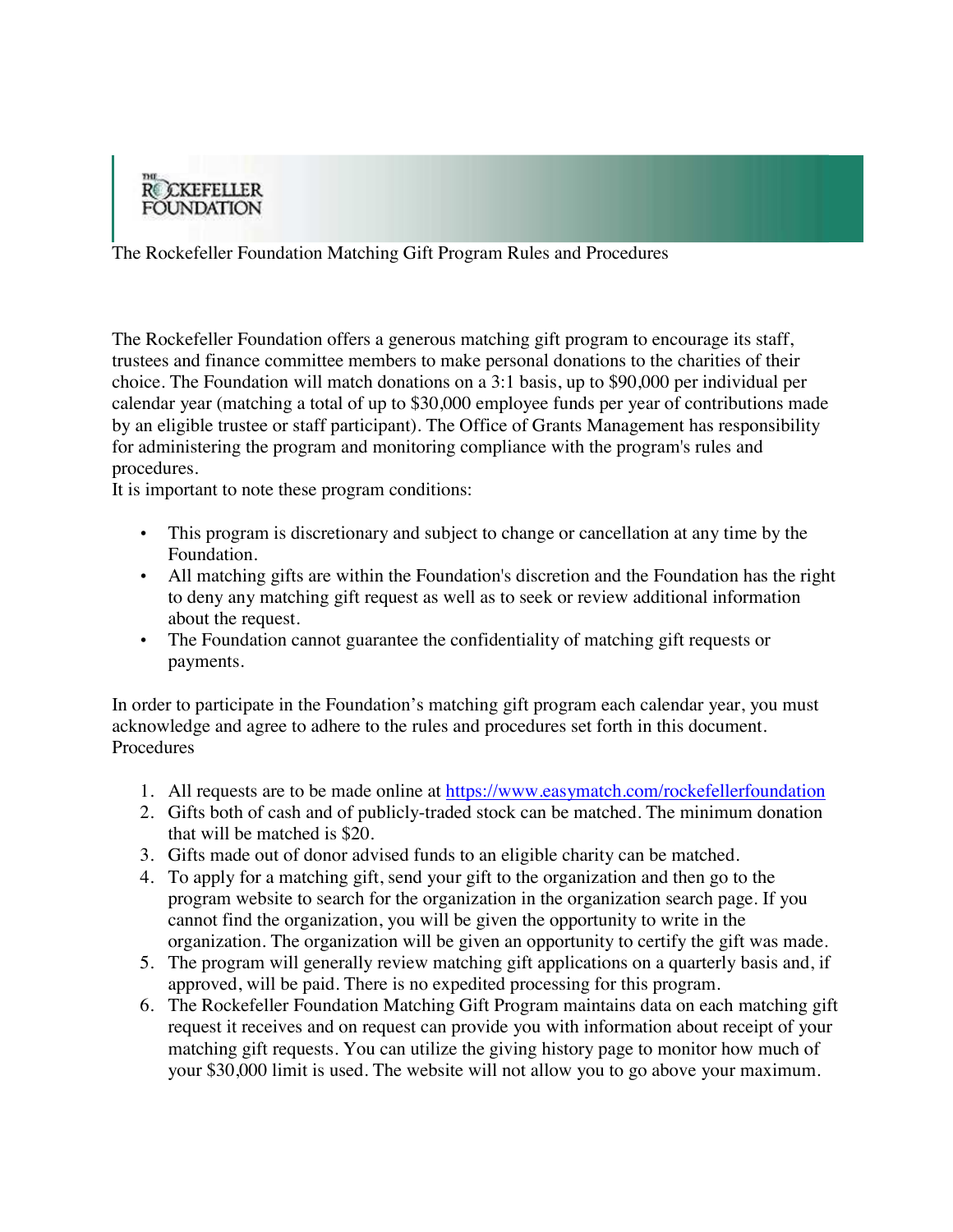

The Rockefeller Foundation Matching Gift Program Rules and Procedures

The Rockefeller Foundation offers a generous matching gift program to encourage its staff, trustees and finance committee members to make personal donations to the charities of their choice. The Foundation will match donations on a 3:1 basis, up to \$90,000 per individual per calendar year (matching a total of up to \$30,000 employee funds per year of contributions made by an eligible trustee or staff participant). The Office of Grants Management has responsibility for administering the program and monitoring compliance with the program's rules and procedures.

It is important to note these program conditions:

- This program is discretionary and subject to change or cancellation at any time by the Foundation.
- All matching gifts are within the Foundation's discretion and the Foundation has the right to deny any matching gift request as well as to seek or review additional information about the request.
- The Foundation cannot guarantee the confidentiality of matching gift requests or payments.

In order to participate in the Foundation's matching gift program each calendar year, you must acknowledge and agree to adhere to the rules and procedures set forth in this document. **Procedures** 

- 1. All requests are to be made online at https://www.easymatch.com/rockefellerfoundation
- 2. Gifts both of cash and of publicly-traded stock can be matched. The minimum donation that will be matched is \$20.
- 3. Gifts made out of donor advised funds to an eligible charity can be matched.
- 4. To apply for a matching gift, send your gift to the organization and then go to the program website to search for the organization in the organization search page. If you cannot find the organization, you will be given the opportunity to write in the organization. The organization will be given an opportunity to certify the gift was made.
- 5. The program will generally review matching gift applications on a quarterly basis and, if approved, will be paid. There is no expedited processing for this program.
- 6. The Rockefeller Foundation Matching Gift Program maintains data on each matching gift request it receives and on request can provide you with information about receipt of your matching gift requests. You can utilize the giving history page to monitor how much of your \$30,000 limit is used. The website will not allow you to go above your maximum.